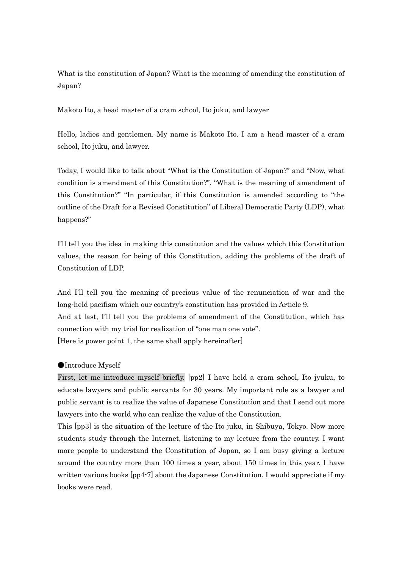What is the constitution of Japan? What is the meaning of amending the constitution of Japan?

Makoto Ito, a head master of a cram school, Ito juku, and lawyer

Hello, ladies and gentlemen. My name is Makoto Ito. I am a head master of a cram school, Ito juku, and lawyer.

Today, I would like to talk about "What is the Constitution of Japan?" and "Now, what condition is amendment of this Constitution?", "What is the meaning of amendment of this Constitution?" "In particular, if this Constitution is amended according to "the outline of the Draft for a Revised Constitution" of Liberal Democratic Party (LDP), what happens?"

I'll tell you the idea in making this constitution and the values which this Constitution values, the reason for being of this Constitution, adding the problems of the draft of Constitution of LDP.

And I'll tell you the meaning of precious value of the renunciation of war and the long-held pacifism which our country's constitution has provided in Article 9.

And at last, I'll tell you the problems of amendment of the Constitution, which has connection with my trial for realization of "one man one vote".

[Here is power point 1, the same shall apply hereinafter]

### ●Introduce Myself

First, let me introduce myself briefly. [pp2] I have held a cram school, Ito jyuku, to educate lawyers and public servants for 30 years. My important role as a lawyer and public servant is to realize the value of Japanese Constitution and that I send out more lawyers into the world who can realize the value of the Constitution.

This [pp3] is the situation of the lecture of the Ito juku, in Shibuya, Tokyo. Now more students study through the Internet, listening to my lecture from the country. I want more people to understand the Constitution of Japan, so I am busy giving a lecture around the country more than 100 times a year, about 150 times in this year. I have written various books [pp4-7] about the Japanese Constitution. I would appreciate if my books were read.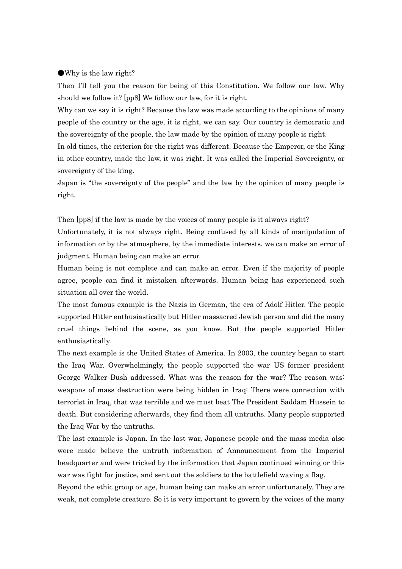### ●Why is the law right?

Then I'll tell you the reason for being of this Constitution. We follow our law. Why should we follow it? [pp8] We follow our law, for it is right.

Why can we say it is right? Because the law was made according to the opinions of many people of the country or the age, it is right, we can say. Our country is democratic and the sovereignty of the people, the law made by the opinion of many people is right.

In old times, the criterion for the right was different. Because the Emperor, or the King in other country, made the law, it was right. It was called the Imperial Sovereignty, or sovereignty of the king.

Japan is "the sovereignty of the people" and the law by the opinion of many people is right.

Then [pp8] if the law is made by the voices of many people is it always right?

Unfortunately, it is not always right. Being confused by all kinds of manipulation of information or by the atmosphere, by the immediate interests, we can make an error of judgment. Human being can make an error.

Human being is not complete and can make an error. Even if the majority of people agree, people can find it mistaken afterwards. Human being has experienced such situation all over the world.

The most famous example is the Nazis in German, the era of Adolf Hitler. The people supported Hitler enthusiastically but Hitler massacred Jewish person and did the many cruel things behind the scene, as you know. But the people supported Hitler enthusiastically.

The next example is the United States of America. In 2003, the country began to start the Iraq War. Overwhelmingly, the people supported the war US former president George Walker Bush addressed. What was the reason for the war? The reason was: weapons of mass destruction were being hidden in Iraq: There were connection with terrorist in Iraq, that was terrible and we must beat The President Saddam Hussein to death. But considering afterwards, they find them all untruths. Many people supported the Iraq War by the untruths.

The last example is Japan. In the last war, Japanese people and the mass media also were made believe the untruth information of Announcement from the Imperial headquarter and were tricked by the information that Japan continued winning or this war was fight for justice, and sent out the soldiers to the battlefield waving a flag.

Beyond the ethic group or age, human being can make an error unfortunately. They are weak, not complete creature. So it is very important to govern by the voices of the many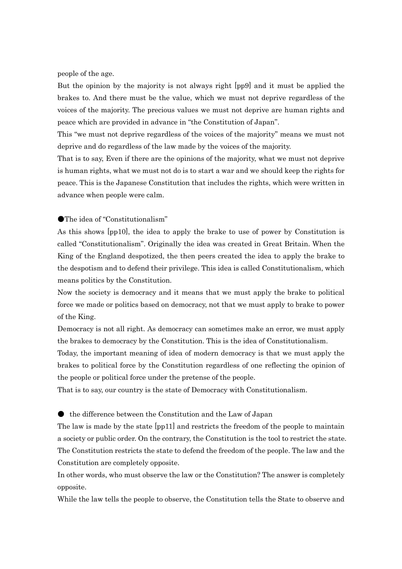people of the age.

But the opinion by the majority is not always right [pp9] and it must be applied the brakes to. And there must be the value, which we must not deprive regardless of the voices of the majority. The precious values we must not deprive are human rights and peace which are provided in advance in "the Constitution of Japan".

This "we must not deprive regardless of the voices of the majority" means we must not deprive and do regardless of the law made by the voices of the majority.

That is to say, Even if there are the opinions of the majority, what we must not deprive is human rights, what we must not do is to start a war and we should keep the rights for peace. This is the Japanese Constitution that includes the rights, which were written in advance when people were calm.

●The idea of "Constitutionalism"

As this shows [pp10], the idea to apply the brake to use of power by Constitution is called "Constitutionalism". Originally the idea was created in Great Britain. When the King of the England despotized, the then peers created the idea to apply the brake to the despotism and to defend their privilege. This idea is called Constitutionalism, which means politics by the Constitution.

Now the society is democracy and it means that we must apply the brake to political force we made or politics based on democracy, not that we must apply to brake to power of the King.

Democracy is not all right. As democracy can sometimes make an error, we must apply the brakes to democracy by the Constitution. This is the idea of Constitutionalism.

Today, the important meaning of idea of modern democracy is that we must apply the brakes to political force by the Constitution regardless of one reflecting the opinion of the people or political force under the pretense of the people.

That is to say, our country is the state of Democracy with Constitutionalism.

 $\bullet$  the difference between the Constitution and the Law of Japan

The law is made by the state [pp11] and restricts the freedom of the people to maintain a society or public order. On the contrary, the Constitution is the tool to restrict the state. The Constitution restricts the state to defend the freedom of the people. The law and the Constitution are completely opposite.

In other words, who must observe the law or the Constitution? The answer is completely opposite.

While the law tells the people to observe, the Constitution tells the State to observe and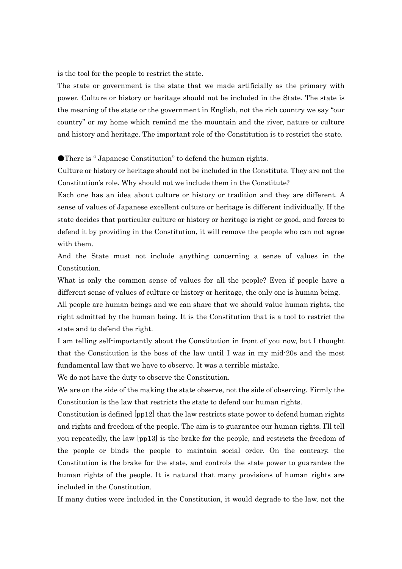is the tool for the people to restrict the state.

The state or government is the state that we made artificially as the primary with power. Culture or history or heritage should not be included in the State. The state is the meaning of the state or the government in English, not the rich country we say "our country" or my home which remind me the mountain and the river, nature or culture and history and heritage. The important role of the Constitution is to restrict the state.

●There is " Japanese Constitution" to defend the human rights.

Culture or history or heritage should not be included in the Constitute. They are not the Constitution's role. Why should not we include them in the Constitute?

Each one has an idea about culture or history or tradition and they are different. A sense of values of Japanese excellent culture or heritage is different individually. If the state decides that particular culture or history or heritage is right or good, and forces to defend it by providing in the Constitution, it will remove the people who can not agree with them.

And the State must not include anything concerning a sense of values in the Constitution.

What is only the common sense of values for all the people? Even if people have a different sense of values of culture or history or heritage, the only one is human being.

All people are human beings and we can share that we should value human rights, the right admitted by the human being. It is the Constitution that is a tool to restrict the state and to defend the right.

I am telling self-importantly about the Constitution in front of you now, but I thought that the Constitution is the boss of the law until I was in my mid-20s and the most fundamental law that we have to observe. It was a terrible mistake.

We do not have the duty to observe the Constitution.

We are on the side of the making the state observe, not the side of observing. Firmly the Constitution is the law that restricts the state to defend our human rights.

Constitution is defined [pp12] that the law restricts state power to defend human rights and rights and freedom of the people. The aim is to guarantee our human rights. I'll tell you repeatedly, the law [pp13] is the brake for the people, and restricts the freedom of the people or binds the people to maintain social order. On the contrary, the Constitution is the brake for the state, and controls the state power to guarantee the human rights of the people. It is natural that many provisions of human rights are included in the Constitution.

If many duties were included in the Constitution, it would degrade to the law, not the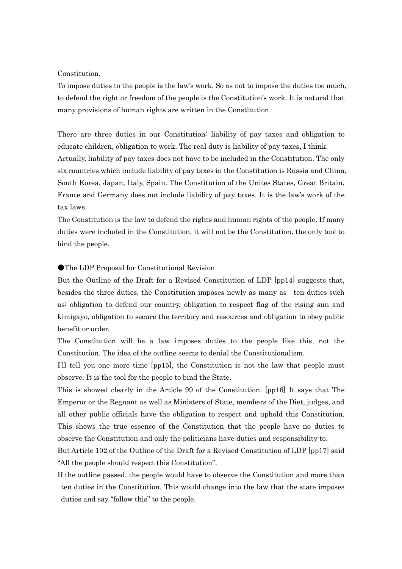#### Constitution.

To impose duties to the people is the law's work. So as not to impose the duties too much, to defend the right or freedom of the people is the Constitution's work. It is natural that many provisions of human rights are written in the Constitution.

There are three duties in our Constitution: liability of pay taxes and obligation to educate children, obligation to work. The real duty is liability of pay taxes, I think. Actually, liability of pay taxes does not have to be included in the Constitution. The only six countries which include liability of pay taxes in the Constitution is Russia and China, South Korea, Japan, Italy, Spain. The Constitution of the Unites States, Great Britain, France and Germany does not include liability of pay taxes. It is the law's work of the tax laws.

The Constitution is the law to defend the rights and human rights of the people. If many duties were included in the Constitution, it will not be the Constitution, the only tool to bind the people.

### ●The LDP Proposal for Constitutional Revision

But the Outline of the Draft for a Revised Constitution of LDP [pp14] suggests that, besides the three duties, the Constitution imposes newly as many as ten duties such as: obligation to defend our country, obligation to respect flag of the rising sun and kimigayo, obligation to secure the territory and resources and obligation to obey public benefit or order.

The Constitution will be a law imposes duties to the people like this, not the Constitution. The idea of the outline seems to denial the Constitutionalism.

I'll tell you one more time [pp15], the Constitution is not the law that people must observe. It is the tool for the people to bind the State.

This is showed clearly in the Article 99 of the Constitution. [pp16] It says that The Emperor or the Regnant as well as Ministers of State, members of the Diet, judges, and all other public officials have the obligation to respect and uphold this Constitution. This shows the true essence of the Constitution that the people have no duties to observe the Constitution and only the politicians have duties and responsibility to.

But Article 102 of the Outline of the Draft for a Revised Constitution of LDP [pp17] said "All the people should respect this Constitution".

If the outline passed, the people would have to observe the Constitution and more than ten duties in the Constitution. This would change into the law that the state imposes duties and say "follow this" to the people.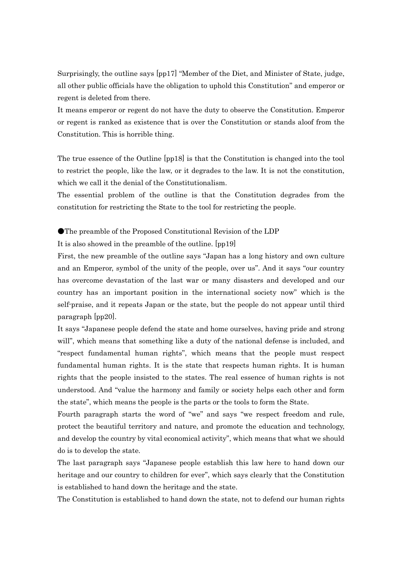Surprisingly, the outline says [pp17] "Member of the Diet, and Minister of State, judge, all other public officials have the obligation to uphold this Constitution" and emperor or regent is deleted from there.

It means emperor or regent do not have the duty to observe the Constitution. Emperor or regent is ranked as existence that is over the Constitution or stands aloof from the Constitution. This is horrible thing.

The true essence of the Outline [pp18] is that the Constitution is changed into the tool to restrict the people, like the law, or it degrades to the law. It is not the constitution, which we call it the denial of the Constitutionalism.

The essential problem of the outline is that the Constitution degrades from the constitution for restricting the State to the tool for restricting the people.

●The preamble of the Proposed Constitutional Revision of the LDP

It is also showed in the preamble of the outline. [pp19]

First, the new preamble of the outline says "Japan has a long history and own culture and an Emperor, symbol of the unity of the people, over us". And it says "our country has overcome devastation of the last war or many disasters and developed and our country has an important position in the international society now" which is the self-praise, and it repeats Japan or the state, but the people do not appear until third paragraph [pp20].

It says "Japanese people defend the state and home ourselves, having pride and strong will", which means that something like a duty of the national defense is included, and "respect fundamental human rights", which means that the people must respect fundamental human rights. It is the state that respects human rights. It is human rights that the people insisted to the states. The real essence of human rights is not understood. And "value the harmony and family or society helps each other and form the state", which means the people is the parts or the tools to form the State.

Fourth paragraph starts the word of "we" and says "we respect freedom and rule, protect the beautiful territory and nature, and promote the education and technology, and develop the country by vital economical activity", which means that what we should do is to develop the state.

The last paragraph says "Japanese people establish this law here to hand down our heritage and our country to children for ever", which says clearly that the Constitution is established to hand down the heritage and the state.

The Constitution is established to hand down the state, not to defend our human rights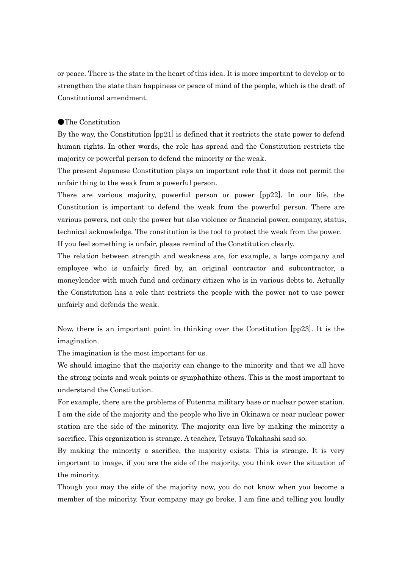or peace. There is the state in the heart of this idea. It is more important to develop or to strengthen the state than happiness or peace of mind of the people, which is the draft of Constitutional amendment.

## ●The Constitution

By the way, the Constitution [pp21] is defined that it restricts the state power to defend human rights. In other words, the role has spread and the Constitution restricts the majority or powerful person to defend the minority or the weak.

The present Japanese Constitution plays an important role that it does not permit the unfair thing to the weak from a powerful person.

There are various majority, powerful person or power [pp22]. In our life, the Constitution is important to defend the weak from the powerful person. There are various powers, not only the power but also violence or financial power, company, status, technical acknowledge. The constitution is the tool to protect the weak from the power. If you feel something is unfair, please remind of the Constitution clearly.

The relation between strength and weakness are, for example, a large company and employee who is unfairly fired by, an original contractor and subcontractor, a moneylender with much fund and ordinary citizen who is in various debts to. Actually the Constitution has a role that restricts the people with the power not to use power unfairly and defends the weak.

Now, there is an important point in thinking over the Constitution [pp23]. It is the imagination.

The imagination is the most important for us.

We should imagine that the majority can change to the minority and that we all have the strong points and weak points or symphathize others. This is the most important to understand the Constitution.

For example, there are the problems of Futenma military base or nuclear power station. I am the side of the majority and the people who live in Okinawa or near nuclear power station are the side of the minority. The majority can live by making the minority a sacrifice. This organization is strange. A teacher, Tetsuya Takahashi said so.

By making the minority a sacrifice, the majority exists. This is strange. It is very important to image, if you are the side of the majority, you think over the situation of the minority.

Though you may the side of the majority now, you do not know when you become a member of the minority. Your company may go broke. I am fine and telling you loudly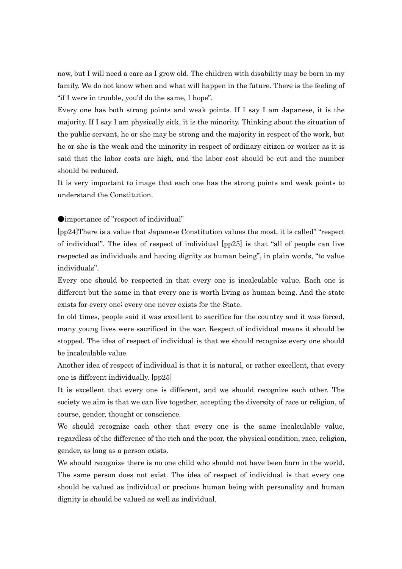now, but I will need a care as I grow old. The children with disability may be born in my family. We do not know when and what will happen in the future. There is the feeling of "if I were in trouble, you'd do the same, I hope".

Every one has both strong points and weak points. If I say I am Japanese, it is the majority. If I say I am physically sick, it is the minority. Thinking about the situation of the public servant, he or she may be strong and the majority in respect of the work, but he or she is the weak and the minority in respect of ordinary citizen or worker as it is said that the labor costs are high, and the labor cost should be cut and the number should be reduced.

It is very important to image that each one has the strong points and weak points to understand the Constitution.

●importance of "respect of individual"

[pp24]There is a value that Japanese Constitution values the most, it is called" "respect of individual". The idea of respect of individual [pp25] is that "all of people can live respected as individuals and having dignity as human being", in plain words, "to value individuals".

Every one should be respected in that every one is incalculable value. Each one is different but the same in that every one is worth living as human being. And the state exists for every one; every one never exists for the State.

In old times, people said it was excellent to sacrifice for the country and it was forced, many young lives were sacrificed in the war. Respect of individual means it should be stopped. The idea of respect of individual is that we should recognize every one should be incalculable value.

Another idea of respect of individual is that it is natural, or rather excellent, that every one is different individually. [pp25]

It is excellent that every one is different, and we should recognize each other. The society we aim is that we can live together, accepting the diversity of race or religion, of course, gender, thought or conscience.

We should recognize each other that every one is the same incalculable value, regardless of the difference of the rich and the poor, the physical condition, race, religion, gender, as long as a person exists.

We should recognize there is no one child who should not have been born in the world. The same person does not exist. The idea of respect of individual is that every one should be valued as individual or precious human being with personality and human dignity is should be valued as well as individual.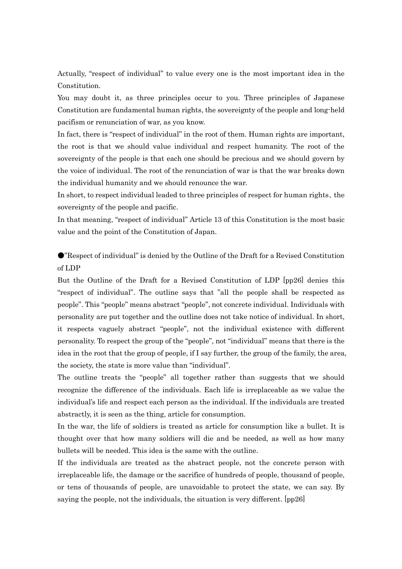Actually, "respect of individual" to value every one is the most important idea in the Constitution.

You may doubt it, as three principles occur to you. Three principles of Japanese Constitution are fundamental human rights, the sovereignty of the people and long-held pacifism or renunciation of war, as you know.

In fact, there is "respect of individual" in the root of them. Human rights are important, the root is that we should value individual and respect humanity. The root of the sovereignty of the people is that each one should be precious and we should govern by the voice of individual. The root of the renunciation of war is that the war breaks down the individual humanity and we should renounce the war.

In short, to respect individual leaded to three principles of respect for human rights、the sovereignty of the people and pacific.

In that meaning, "respect of individual" Article 13 of this Constitution is the most basic value and the point of the Constitution of Japan.

●"Respect of individual" is denied by the Outline of the Draft for a Revised Constitution of LDP

But the Outline of the Draft for a Revised Constitution of LDP [pp26] denies this "respect of individual". The outline says that "all the people shall be respected as people". This "people" means abstract "people", not concrete individual. Individuals with personality are put together and the outline does not take notice of individual. In short, it respects vaguely abstract "people", not the individual existence with different personality. To respect the group of the "people", not "individual" means that there is the idea in the root that the group of people, if I say further, the group of the family, the area, the society, the state is more value than "individual".

The outline treats the "people" all together rather than suggests that we should recognize the difference of the individuals. Each life is irreplaceable as we value the individual's life and respect each person as the individual. If the individuals are treated abstractly, it is seen as the thing, article for consumption.

In the war, the life of soldiers is treated as article for consumption like a bullet. It is thought over that how many soldiers will die and be needed, as well as how many bullets will be needed. This idea is the same with the outline.

If the individuals are treated as the abstract people, not the concrete person with irreplaceable life, the damage or the sacrifice of hundreds of people, thousand of people, or tens of thousands of people, are unavoidable to protect the state, we can say. By saying the people, not the individuals, the situation is very different. [pp26]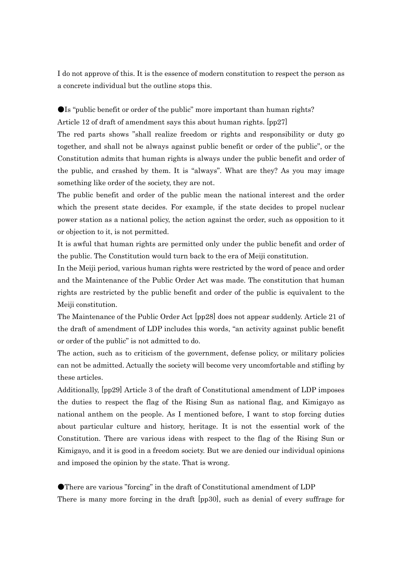I do not approve of this. It is the essence of modern constitution to respect the person as a concrete individual but the outline stops this.

●Is "public benefit or order of the public" more important than human rights? Article 12 of draft of amendment says this about human rights. [pp27]

The red parts shows "shall realize freedom or rights and responsibility or duty go together, and shall not be always against public benefit or order of the public", or the Constitution admits that human rights is always under the public benefit and order of the public, and crashed by them. It is "always". What are they? As you may image something like order of the society, they are not.

The public benefit and order of the public mean the national interest and the order which the present state decides. For example, if the state decides to propel nuclear power station as a national policy, the action against the order, such as opposition to it or objection to it, is not permitted.

It is awful that human rights are permitted only under the public benefit and order of the public. The Constitution would turn back to the era of Meiji constitution.

In the Meiji period, various human rights were restricted by the word of peace and order and the Maintenance of the Public Order Act was made. The constitution that human rights are restricted by the public benefit and order of the public is equivalent to the Meiji constitution.

The Maintenance of the Public Order Act [pp28] does not appear suddenly. Article 21 of the draft of amendment of LDP includes this words, "an activity against public benefit or order of the public" is not admitted to do.

The action, such as to criticism of the government, defense policy, or military policies can not be admitted. Actually the society will become very uncomfortable and stifling by these articles.

Additionally, [pp29] Article 3 of the draft of Constitutional amendment of LDP imposes the duties to respect the flag of the Rising Sun as national flag, and Kimigayo as national anthem on the people. As I mentioned before, I want to stop forcing duties about particular culture and history, heritage. It is not the essential work of the Constitution. There are various ideas with respect to the flag of the Rising Sun or Kimigayo, and it is good in a freedom society. But we are denied our individual opinions and imposed the opinion by the state. That is wrong.

●There are various "forcing" in the draft of Constitutional amendment of LDP There is many more forcing in the draft [pp30], such as denial of every suffrage for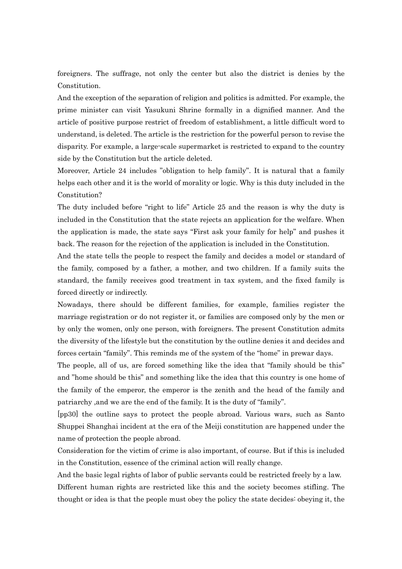foreigners. The suffrage, not only the center but also the district is denies by the Constitution.

And the exception of the separation of religion and politics is admitted. For example, the prime minister can visit Yasukuni Shrine formally in a dignified manner. And the article of positive purpose restrict of freedom of establishment, a little difficult word to understand, is deleted. The article is the restriction for the powerful person to revise the disparity. For example, a large-scale supermarket is restricted to expand to the country side by the Constitution but the article deleted.

Moreover, Article 24 includes "obligation to help family". It is natural that a family helps each other and it is the world of morality or logic. Why is this duty included in the Constitution?

The duty included before "right to life" Article 25 and the reason is why the duty is included in the Constitution that the state rejects an application for the welfare. When the application is made, the state says "First ask your family for help" and pushes it back. The reason for the rejection of the application is included in the Constitution.

And the state tells the people to respect the family and decides a model or standard of the family, composed by a father, a mother, and two children. If a family suits the standard, the family receives good treatment in tax system, and the fixed family is forced directly or indirectly.

Nowadays, there should be different families, for example, families register the marriage registration or do not register it, or families are composed only by the men or by only the women, only one person, with foreigners. The present Constitution admits the diversity of the lifestyle but the constitution by the outline denies it and decides and forces certain "family". This reminds me of the system of the "home" in prewar days.

The people, all of us, are forced something like the idea that "family should be this" and "home should be this" and something like the idea that this country is one home of the family of the emperor, the emperor is the zenith and the head of the family and patriarchy ,and we are the end of the family. It is the duty of "family".

[pp30] the outline says to protect the people abroad. Various wars, such as Santo Shuppei Shanghai incident at the era of the Meiji constitution are happened under the name of protection the people abroad.

Consideration for the victim of crime is also important, of course. But if this is included in the Constitution, essence of the criminal action will really change.

And the basic legal rights of labor of public servants could be restricted freely by a law. Different human rights are restricted like this and the society becomes stifling. The thought or idea is that the people must obey the policy the state decides: obeying it, the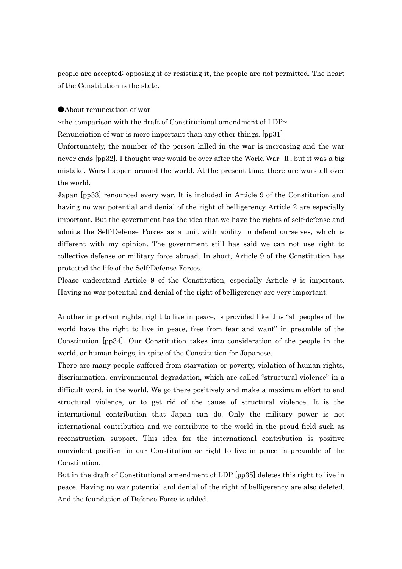people are accepted: opposing it or resisting it, the people are not permitted. The heart of the Constitution is the state.

### ●About renunciation of war

~the comparison with the draft of Constitutional amendment of  $LDP \sim$ 

Renunciation of war is more important than any other things. [pp31]

Unfortunately, the number of the person killed in the war is increasing and the war never ends [pp32]. I thought war would be over after the World War Ⅱ, but it was a big mistake. Wars happen around the world. At the present time, there are wars all over the world.

Japan [pp33] renounced every war. It is included in Article 9 of the Constitution and having no war potential and denial of the right of belligerency Article 2 are especially important. But the government has the idea that we have the rights of self-defense and admits the Self-Defense Forces as a unit with ability to defend ourselves, which is different with my opinion. The government still has said we can not use right to collective defense or military force abroad. In short, Article 9 of the Constitution has protected the life of the Self-Defense Forces.

Please understand Article 9 of the Constitution, especially Article 9 is important. Having no war potential and denial of the right of belligerency are very important.

Another important rights, right to live in peace, is provided like this "all peoples of the world have the right to live in peace, free from fear and want" in preamble of the Constitution [pp34]. Our Constitution takes into consideration of the people in the world, or human beings, in spite of the Constitution for Japanese.

There are many people suffered from starvation or poverty, violation of human rights, discrimination, environmental degradation, which are called "structural violence" in a difficult word, in the world. We go there positively and make a maximum effort to end structural violence, or to get rid of the cause of structural violence. It is the international contribution that Japan can do. Only the military power is not international contribution and we contribute to the world in the proud field such as reconstruction support. This idea for the international contribution is positive nonviolent pacifism in our Constitution or right to live in peace in preamble of the Constitution.

But in the draft of Constitutional amendment of LDP [pp35] deletes this right to live in peace. Having no war potential and denial of the right of belligerency are also deleted. And the foundation of Defense Force is added.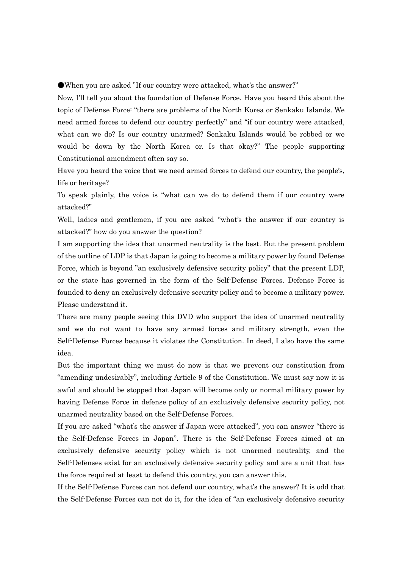●When you are asked "If our country were attacked, what's the answer?"

Now, I'll tell you about the foundation of Defense Force. Have you heard this about the topic of Defense Force: "there are problems of the North Korea or Senkaku Islands. We need armed forces to defend our country perfectly" and "if our country were attacked, what can we do? Is our country unarmed? Senkaku Islands would be robbed or we would be down by the North Korea or. Is that okay?" The people supporting Constitutional amendment often say so.

Have you heard the voice that we need armed forces to defend our country, the people's, life or heritage?

To speak plainly, the voice is "what can we do to defend them if our country were attacked?"

Well, ladies and gentlemen, if you are asked "what's the answer if our country is attacked?" how do you answer the question?

I am supporting the idea that unarmed neutrality is the best. But the present problem of the outline of LDP is that Japan is going to become a military power by found Defense Force, which is beyond "an exclusively defensive security policy" that the present LDP, or the state has governed in the form of the Self-Defense Forces. Defense Force is founded to deny an exclusively defensive security policy and to become a military power. Please understand it.

There are many people seeing this DVD who support the idea of unarmed neutrality and we do not want to have any armed forces and military strength, even the Self-Defense Forces because it violates the Constitution. In deed, I also have the same idea.

But the important thing we must do now is that we prevent our constitution from "amending undesirably", including Article 9 of the Constitution. We must say now it is awful and should be stopped that Japan will become only or normal military power by having Defense Force in defense policy of an exclusively defensive security policy, not unarmed neutrality based on the Self-Defense Forces.

If you are asked "what's the answer if Japan were attacked", you can answer "there is the Self-Defense Forces in Japan". There is the Self-Defense Forces aimed at an exclusively defensive security policy which is not unarmed neutrality, and the Self-Defenses exist for an exclusively defensive security policy and are a unit that has the force required at least to defend this country, you can answer this.

If the Self-Defense Forces can not defend our country, what's the answer? It is odd that the Self-Defense Forces can not do it, for the idea of "an exclusively defensive security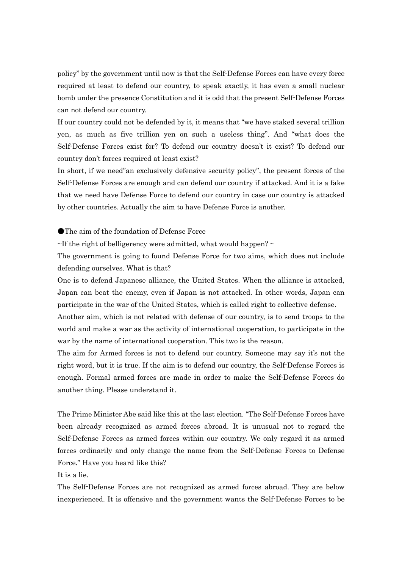policy" by the government until now is that the Self-Defense Forces can have every force required at least to defend our country, to speak exactly, it has even a small nuclear bomb under the presence Constitution and it is odd that the present Self-Defense Forces can not defend our country.

If our country could not be defended by it, it means that "we have staked several trillion yen, as much as five trillion yen on such a useless thing". And "what does the Self-Defense Forces exist for? To defend our country doesn't it exist? To defend our country don't forces required at least exist?

In short, if we need"an exclusively defensive security policy", the present forces of the Self-Defense Forces are enough and can defend our country if attacked. And it is a fake that we need have Defense Force to defend our country in case our country is attacked by other countries. Actually the aim to have Defense Force is another.

●The aim of the foundation of Defense Force

 $\sim$ If the right of belligerency were admitted, what would happen?  $\sim$ 

The government is going to found Defense Force for two aims, which does not include defending ourselves. What is that?

One is to defend Japanese alliance, the United States. When the alliance is attacked, Japan can beat the enemy, even if Japan is not attacked. In other words, Japan can participate in the war of the United States, which is called right to collective defense.

Another aim, which is not related with defense of our country, is to send troops to the world and make a war as the activity of international cooperation, to participate in the war by the name of international cooperation. This two is the reason.

The aim for Armed forces is not to defend our country. Someone may say it's not the right word, but it is true. If the aim is to defend our country, the Self-Defense Forces is enough. Formal armed forces are made in order to make the Self-Defense Forces do another thing. Please understand it.

The Prime Minister Abe said like this at the last election. "The Self-Defense Forces have been already recognized as armed forces abroad. It is unusual not to regard the Self-Defense Forces as armed forces within our country. We only regard it as armed forces ordinarily and only change the name from the Self-Defense Forces to Defense Force." Have you heard like this?

It is a lie.

The Self-Defense Forces are not recognized as armed forces abroad. They are below inexperienced. It is offensive and the government wants the Self-Defense Forces to be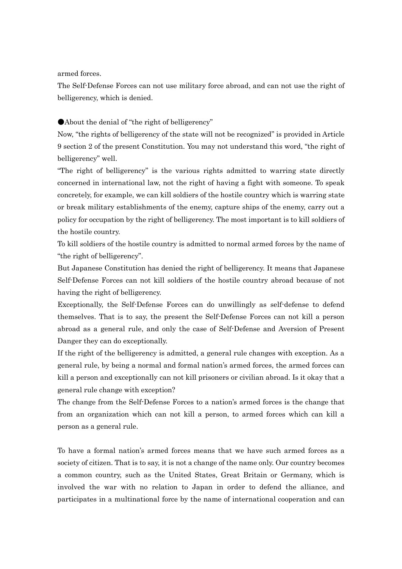armed forces.

The Self-Defense Forces can not use military force abroad, and can not use the right of belligerency, which is denied.

●About the denial of "the right of belligerency"

Now, "the rights of belligerency of the state will not be recognized" is provided in Article 9 section 2 of the present Constitution. You may not understand this word, "the right of belligerency" well.

"The right of belligerency" is the various rights admitted to warring state directly concerned in international law, not the right of having a fight with someone. To speak concretely, for example, we can kill soldiers of the hostile country which is warring state or break military establishments of the enemy, capture ships of the enemy, carry out a policy for occupation by the right of belligerency. The most important is to kill soldiers of the hostile country.

To kill soldiers of the hostile country is admitted to normal armed forces by the name of "the right of belligerency".

But Japanese Constitution has denied the right of belligerency. It means that Japanese Self-Defense Forces can not kill soldiers of the hostile country abroad because of not having the right of belligerency.

Exceptionally, the Self-Defense Forces can do unwillingly as self-defense to defend themselves. That is to say, the present the Self-Defense Forces can not kill a person abroad as a general rule, and only the case of Self-Defense and Aversion of Present Danger they can do exceptionally.

If the right of the belligerency is admitted, a general rule changes with exception. As a general rule, by being a normal and formal nation's armed forces, the armed forces can kill a person and exceptionally can not kill prisoners or civilian abroad. Is it okay that a general rule change with exception?

The change from the Self-Defense Forces to a nation's armed forces is the change that from an organization which can not kill a person, to armed forces which can kill a person as a general rule.

To have a formal nation's armed forces means that we have such armed forces as a society of citizen. That is to say, it is not a change of the name only. Our country becomes a common country, such as the United States, Great Britain or Germany, which is involved the war with no relation to Japan in order to defend the alliance, and participates in a multinational force by the name of international cooperation and can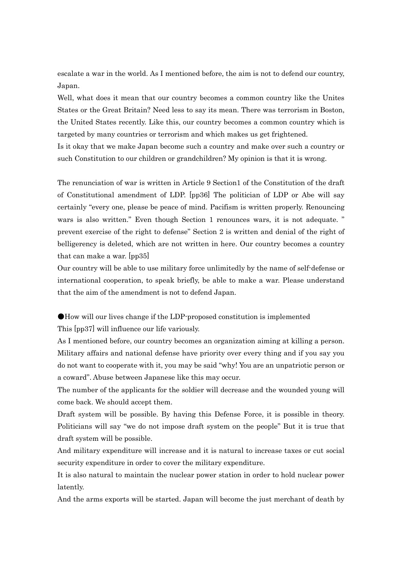escalate a war in the world. As I mentioned before, the aim is not to defend our country, Japan.

Well, what does it mean that our country becomes a common country like the Unites States or the Great Britain? Need less to say its mean. There was terrorism in Boston, the United States recently. Like this, our country becomes a common country which is targeted by many countries or terrorism and which makes us get frightened.

Is it okay that we make Japan become such a country and make over such a country or such Constitution to our children or grandchildren? My opinion is that it is wrong.

The renunciation of war is written in Article 9 Section1 of the Constitution of the draft of Constitutional amendment of LDP. [pp36] The politician of LDP or Abe will say certainly "every one, please be peace of mind. Pacifism is written properly. Renouncing wars is also written." Even though Section 1 renounces wars, it is not adequate. " prevent exercise of the right to defense" Section 2 is written and denial of the right of belligerency is deleted, which are not written in here. Our country becomes a country that can make a war. [pp35]

Our country will be able to use military force unlimitedly by the name of self-defense or international cooperation, to speak briefly, be able to make a war. Please understand that the aim of the amendment is not to defend Japan.

●How will our lives change if the LDP-proposed constitution is implemented

This [pp37] will influence our life variously.

As I mentioned before, our country becomes an organization aiming at killing a person. Military affairs and national defense have priority over every thing and if you say you do not want to cooperate with it, you may be said "why! You are an unpatriotic person or a coward". Abuse between Japanese like this may occur.

The number of the applicants for the soldier will decrease and the wounded young will come back. We should accept them.

Draft system will be possible. By having this Defense Force, it is possible in theory. Politicians will say "we do not impose draft system on the people" But it is true that draft system will be possible.

And military expenditure will increase and it is natural to increase taxes or cut social security expenditure in order to cover the military expenditure.

It is also natural to maintain the nuclear power station in order to hold nuclear power latently.

And the arms exports will be started. Japan will become the just merchant of death by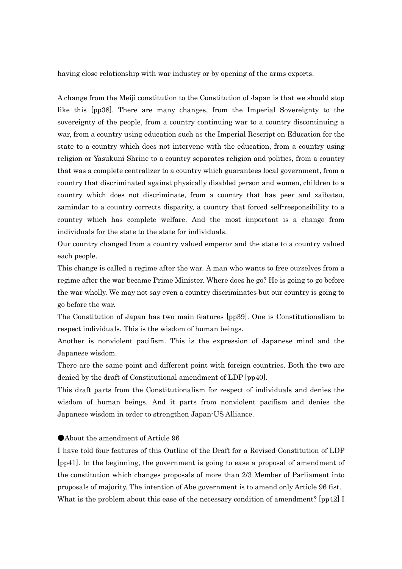having close relationship with war industry or by opening of the arms exports.

A change from the Meiji constitution to the Constitution of Japan is that we should stop like this [pp38]. There are many changes, from the Imperial Sovereignty to the sovereignty of the people, from a country continuing war to a country discontinuing a war, from a country using education such as the Imperial Rescript on Education for the state to a country which does not intervene with the education, from a country using religion or Yasukuni Shrine to a country separates religion and politics, from a country that was a complete centralizer to a country which guarantees local government, from a country that discriminated against physically disabled person and women, children to a country which does not discriminate, from a country that has peer and zaibatsu, zamindar to a country corrects disparity, a country that forced self-responsibility to a country which has complete welfare. And the most important is a change from individuals for the state to the state for individuals.

Our country changed from a country valued emperor and the state to a country valued each people.

This change is called a regime after the war. A man who wants to free ourselves from a regime after the war became Prime Minister. Where does he go? He is going to go before the war wholly. We may not say even a country discriminates but our country is going to go before the war.

The Constitution of Japan has two main features [pp39]. One is Constitutionalism to respect individuals. This is the wisdom of human beings.

Another is nonviolent pacifism. This is the expression of Japanese mind and the Japanese wisdom.

There are the same point and different point with foreign countries. Both the two are denied by the draft of Constitutional amendment of LDP [pp40].

This draft parts from the Constitutionalism for respect of individuals and denies the wisdom of human beings. And it parts from nonviolent pacifism and denies the Japanese wisdom in order to strengthen Japan-US Alliance.

# ●About the amendment of Article 96

I have told four features of this Outline of the Draft for a Revised Constitution of LDP [pp41]. In the beginning, the government is going to ease a proposal of amendment of the constitution which changes proposals of more than 2/3 Member of Parliament into proposals of majority. The intention of Abe government is to amend only Article 96 fist. What is the problem about this ease of the necessary condition of amendment? [pp42] I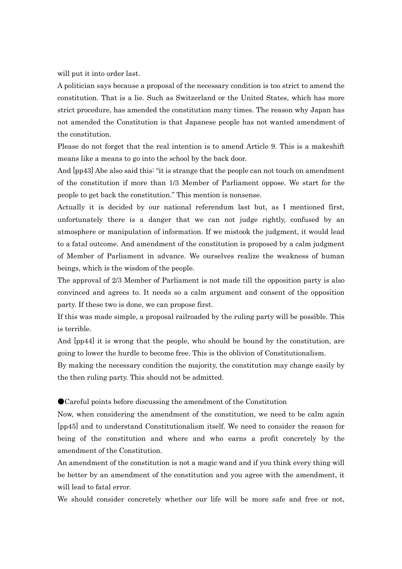will put it into order last.

A politician says because a proposal of the necessary condition is too strict to amend the constitution. That is a lie. Such as Switzerland or the United States, which has more strict procedure, has amended the constitution many times. The reason why Japan has not amended the Constitution is that Japanese people has not wanted amendment of the constitution.

Please do not forget that the real intention is to amend Article 9. This is a makeshift means like a means to go into the school by the back door.

And [pp43] Abe also said this: "it is strange that the people can not touch on amendment of the constitution if more than 1/3 Member of Parliament oppose. We start for the people to get back the constitution." This mention is nonsense.

Actually it is decided by our national referendum last but, as I mentioned first, unfortunately there is a danger that we can not judge rightly, confused by an atmosphere or manipulation of information. If we mistook the judgment, it would lead to a fatal outcome. And amendment of the constitution is proposed by a calm judgment of Member of Parliament in advance. We ourselves realize the weakness of human beings, which is the wisdom of the people.

The approval of 2/3 Member of Parliament is not made till the opposition party is also convinced and agrees to. It needs so a calm argument and consent of the opposition party. If these two is done, we can propose first.

If this was made simple, a proposal railroaded by the ruling party will be possible. This is terrible.

And  $[pp44]$  it is wrong that the people, who should be bound by the constitution, are going to lower the hurdle to become free. This is the oblivion of Constitutionalism.

By making the necessary condition the majority, the constitution may change easily by the then ruling party. This should not be admitted.

●Careful points before discussing the amendment of the Constitution

Now, when considering the amendment of the constitution, we need to be calm again [pp45] and to understand Constitutionalism itself. We need to consider the reason for being of the constitution and where and who earns a profit concretely by the amendment of the Constitution.

An amendment of the constitution is not a magic wand and if you think every thing will be better by an amendment of the constitution and you agree with the amendment, it will lead to fatal error.

We should consider concretely whether our life will be more safe and free or not.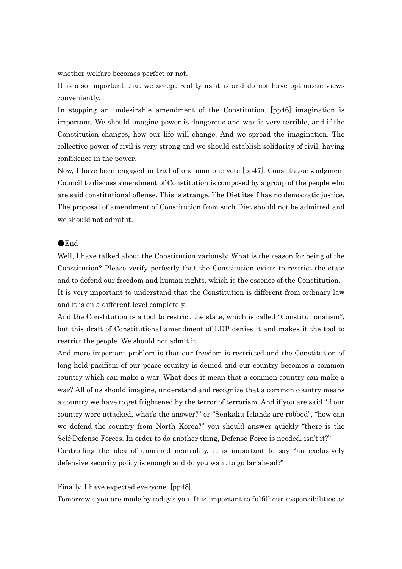whether welfare becomes perfect or not.

It is also important that we accept reality as it is and do not have optimistic views conveniently.

In stopping an undesirable amendment of the Constitution, [pp46] imagination is important. We should imagine power is dangerous and war is very terrible, and if the Constitution changes, how our life will change. And we spread the imagination. The collective power of civil is very strong and we should establish solidarity of civil, having confidence in the power.

Now, I have been engaged in trial of one man one vote [pp47]. Constitution Judgment Council to discuss amendment of Constitution is composed by a group of the people who are said constitutional offense. This is strange. The Diet itself has no democratic justice. The proposal of amendment of Constitution from such Diet should not be admitted and we should not admit it.

### ●End

Well, I have talked about the Constitution variously. What is the reason for being of the Constitution? Please verify perfectly that the Constitution exists to restrict the state and to defend our freedom and human rights, which is the essence of the Constitution. It is very important to understand that the Constitution is different from ordinary law and it is on a different level completely.

And the Constitution is a tool to restrict the state, which is called "Constitutionalism", but this draft of Constitutional amendment of LDP denies it and makes it the tool to restrict the people. We should not admit it.

And more important problem is that our freedom is restricted and the Constitution of long-held pacifism of our peace country is denied and our country becomes a common country which can make a war. What does it mean that a common country can make a war? All of us should imagine, understand and recognize that a common country means a country we have to get frightened by the terror of terrorism. And if you are said "if our country were attacked, what's the answer?" or "Senkaku Islands are robbed", "how can we defend the country from North Korea?" you should answer quickly "there is the Self-Defense Forces. In order to do another thing, Defense Force is needed, isn't it?"

Controlling the idea of unarmed neutrality, it is important to say "an exclusively defensive security policy is enough and do you want to go far ahead?"

#### Finally, I have expected everyone. [pp48]

Tomorrow's you are made by today's you. It is important to fulfill our responsibilities as